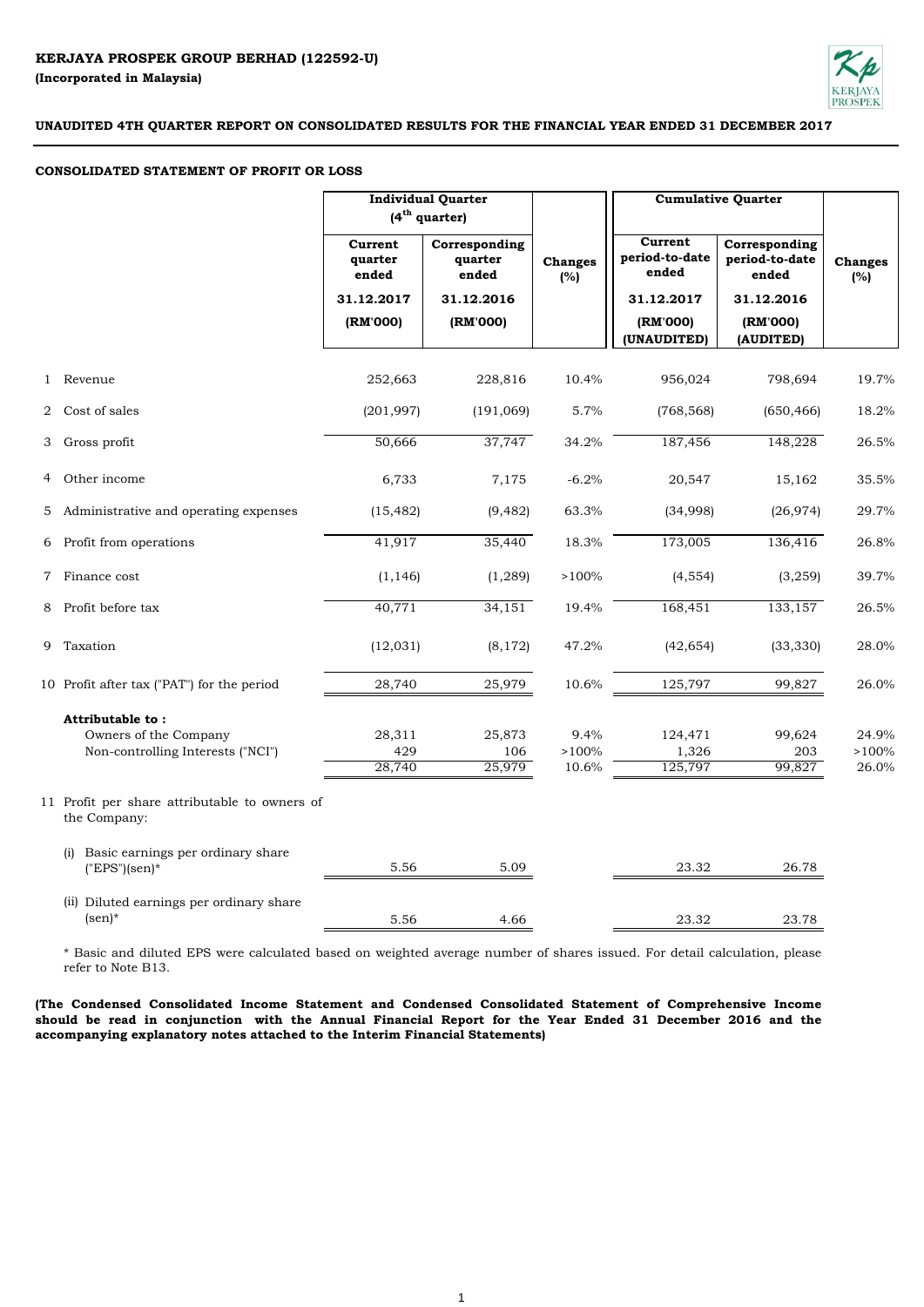

## **CONSOLIDATED STATEMENT OF PROFIT OR LOSS**

|                |                                                               |                             | <b>Individual Quarter</b><br>$(4th$ quarter) |                       | <b>Cumulative Quarter</b>                 |                                          |                       |
|----------------|---------------------------------------------------------------|-----------------------------|----------------------------------------------|-----------------------|-------------------------------------------|------------------------------------------|-----------------------|
|                |                                                               | Current<br>quarter<br>ended | Corresponding<br>quarter<br>ended            | <b>Changes</b><br>(%) | <b>Current</b><br>period-to-date<br>ended | Corresponding<br>period-to-date<br>ended | <b>Changes</b><br>(%) |
|                |                                                               | 31.12.2017                  | 31.12.2016                                   |                       | 31.12.2017                                | 31.12.2016                               |                       |
|                |                                                               | (RM'000)                    | (RM'000)                                     |                       | (RM'000)<br>(UNAUDITED)                   | (RM'000)<br>(AUDITED)                    |                       |
|                | 1 Revenue                                                     | 252,663                     | 228,816                                      | 10.4%                 | 956,024                                   | 798,694                                  | 19.7%                 |
|                | 2 Cost of sales                                               | (201, 997)                  | (191,069)                                    | 5.7%                  | (768, 568)                                | (650, 466)                               | 18.2%                 |
| 3              | Gross profit                                                  | 50,666                      | 37,747                                       | 34.2%                 | 187,456                                   | 148,228                                  | 26.5%                 |
|                | 4 Other income                                                | 6,733                       | 7,175                                        | $-6.2%$               | 20,547                                    | 15,162                                   | 35.5%                 |
|                | 5 Administrative and operating expenses                       | (15, 482)                   | (9, 482)                                     | 63.3%                 | (34,998)                                  | (26, 974)                                | 29.7%                 |
|                | 6 Profit from operations                                      | 41,917                      | 35,440                                       | 18.3%                 | 173,005                                   | 136,416                                  | 26.8%                 |
| $7\phantom{.}$ | Finance cost                                                  | (1, 146)                    | (1,289)                                      | >100%                 | (4, 554)                                  | (3,259)                                  | 39.7%                 |
| 8              | Profit before tax                                             | 40,771                      | 34,151                                       | 19.4%                 | 168,451                                   | 133,157                                  | 26.5%                 |
|                | 9 Taxation                                                    | (12, 031)                   | (8, 172)                                     | 47.2%                 | (42, 654)                                 | (33, 330)                                | 28.0%                 |
|                | 10 Profit after tax ("PAT") for the period                    | 28,740                      | 25,979                                       | 10.6%                 | 125,797                                   | 99,827                                   | 26.0%                 |
|                | Attributable to:                                              |                             |                                              |                       |                                           |                                          |                       |
|                | Owners of the Company                                         | 28,311                      | 25,873                                       | 9.4%                  | 124,471                                   | 99,624                                   | 24.9%                 |
|                | Non-controlling Interests ("NCI")                             | 429                         | 106                                          | >100%                 | 1,326                                     | 203                                      | >100%                 |
|                |                                                               | 28,740                      | 25,979                                       | 10.6%                 | 125,797                                   | 99,827                                   | 26.0%                 |
|                | 11 Profit per share attributable to owners of<br>the Company: |                             |                                              |                       |                                           |                                          |                       |
|                | Basic earnings per ordinary share<br>(i)<br>$("EPS"(sen)*$    | 5.56                        | 5.09                                         |                       | 23.32                                     | 26.78                                    |                       |
|                | (ii) Diluted earnings per ordinary share<br>$(\text{sen})^*$  | 5.56                        | 4.66                                         |                       | 23.32                                     | 23.78                                    |                       |

\* Basic and diluted EPS were calculated based on weighted average number of shares issued. For detail calculation, please refer to Note B13.

**(The Condensed Consolidated Income Statement and Condensed Consolidated Statement of Comprehensive Income** should be read in conjunction with the Annual Financial Report for the Year Ended 31 December 2016 and the **accompanying explanatory notes attached to the Interim Financial Statements)**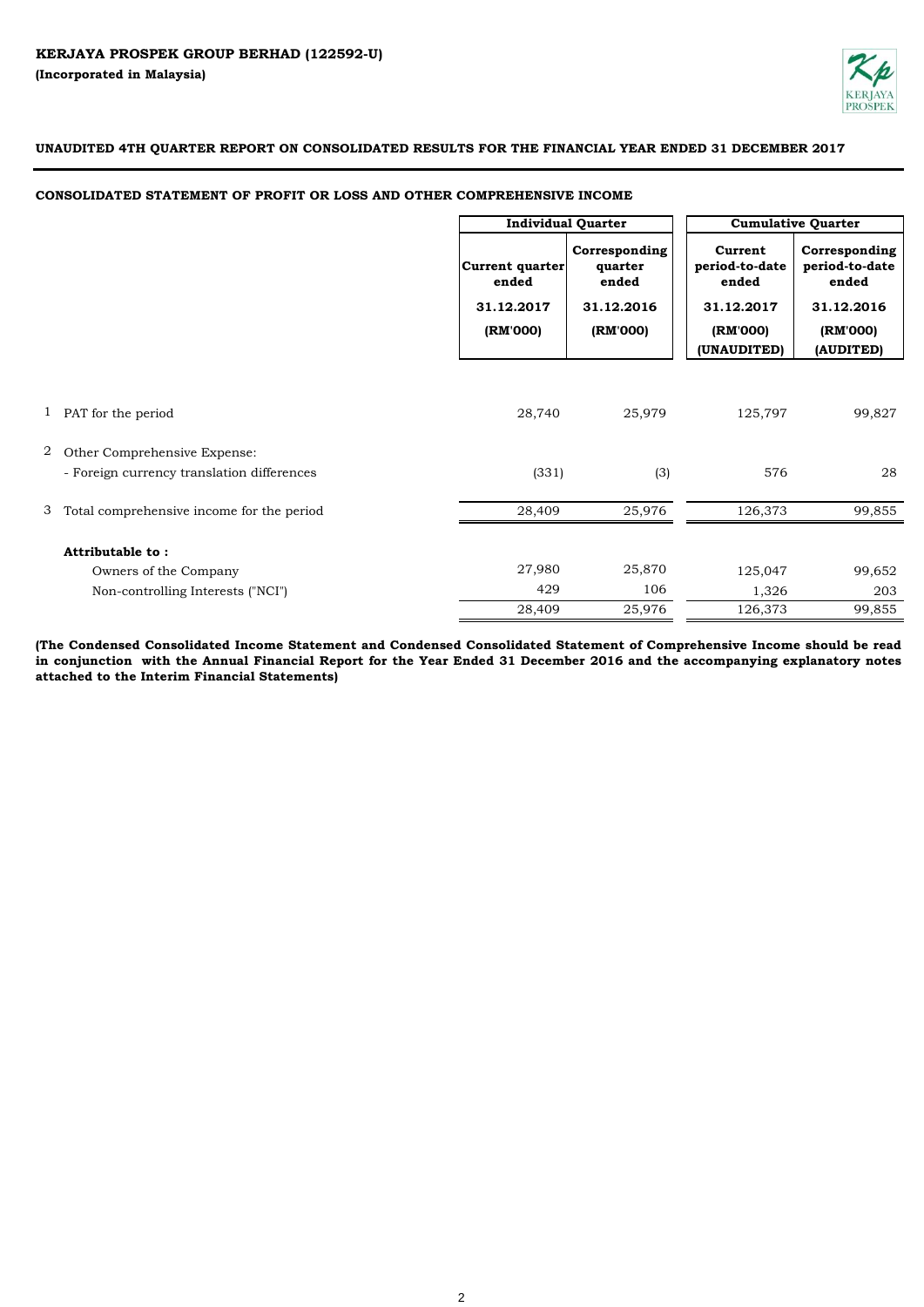

## **CONSOLIDATED STATEMENT OF PROFIT OR LOSS AND OTHER COMPREHENSIVE INCOME**

|   |                                            | <b>Individual Quarter</b>                          |                                                             |                                                                             | <b>Cumulative Quarter</b>                                                       |
|---|--------------------------------------------|----------------------------------------------------|-------------------------------------------------------------|-----------------------------------------------------------------------------|---------------------------------------------------------------------------------|
|   |                                            | Current quarter<br>ended<br>31.12.2017<br>(RM'000) | Corresponding<br>quarter<br>ended<br>31.12.2016<br>(RM'000) | Current<br>period-to-date<br>ended<br>31.12.2017<br>(RM'000)<br>(UNAUDITED) | Corresponding<br>period-to-date<br>ended<br>31.12.2016<br>(RM'000)<br>(AUDITED) |
|   |                                            |                                                    |                                                             |                                                                             |                                                                                 |
|   | 1 PAT for the period                       | 28,740                                             | 25,979                                                      | 125,797                                                                     | 99,827                                                                          |
| 2 | Other Comprehensive Expense:               |                                                    |                                                             |                                                                             |                                                                                 |
|   | - Foreign currency translation differences | (331)                                              | (3)                                                         | 576                                                                         | 28                                                                              |
| 3 | Total comprehensive income for the period  | 28,409                                             | 25,976                                                      | 126,373                                                                     | 99,855                                                                          |
|   | <b>Attributable to:</b>                    |                                                    |                                                             |                                                                             |                                                                                 |
|   | Owners of the Company                      | 27,980                                             | 25,870                                                      | 125,047                                                                     | 99,652                                                                          |
|   | Non-controlling Interests ("NCI")          | 429                                                | 106                                                         | 1,326                                                                       | 203                                                                             |
|   |                                            | 28,409                                             | 25,976                                                      | 126,373                                                                     | 99,855                                                                          |

(The Condensed Consolidated Income Statement and Condensed Consolidated Statement of Comprehensive Income should be read in conjunction with the Annual Financial Report for the Year Ended 31 December 2016 and the accompanying explanatory notes **attached to the Interim Financial Statements)**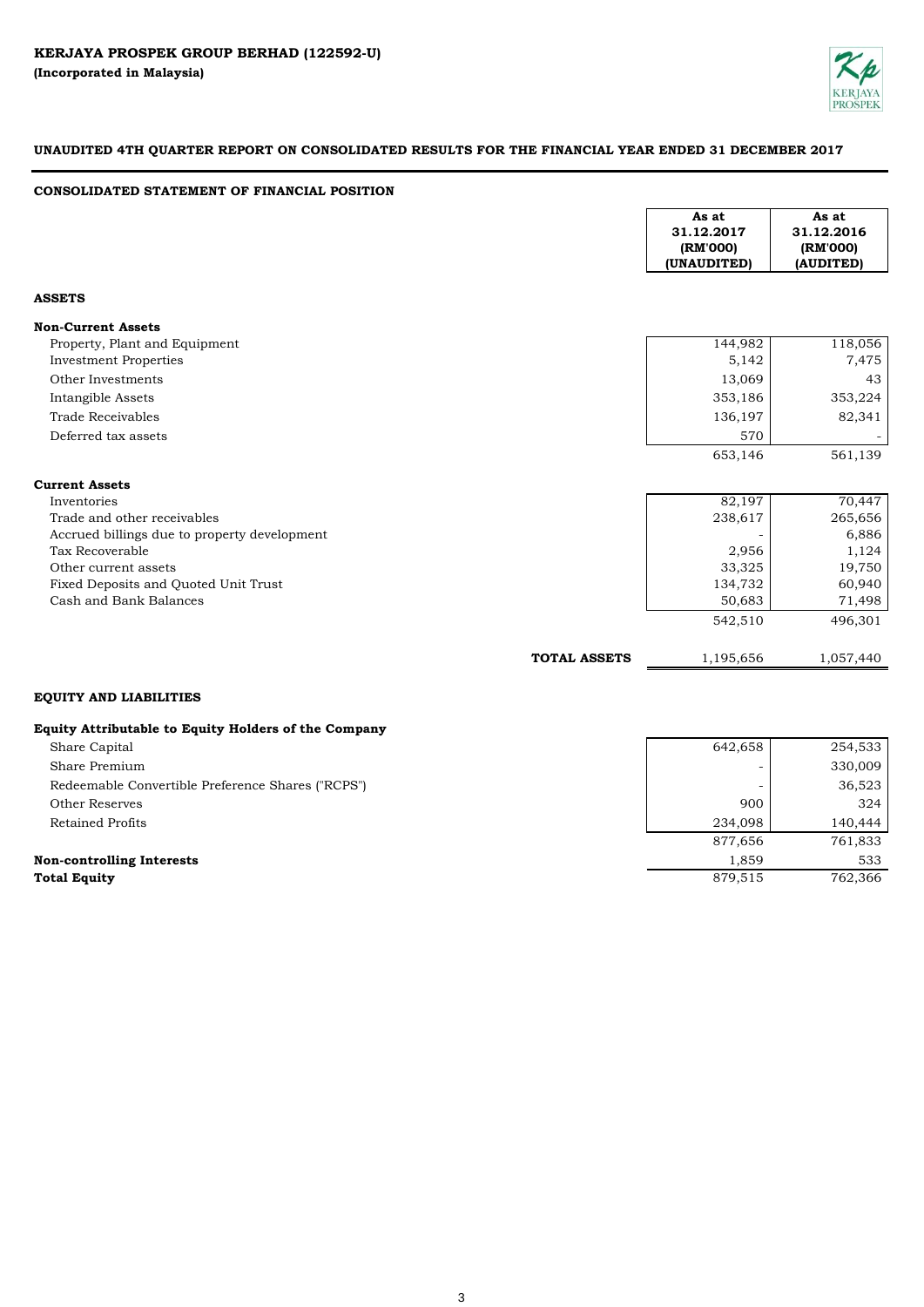

642,658 254,533

# **UNAUDITED 4TH QUARTER REPORT ON CONSOLIDATED RESULTS FOR THE FINANCIAL YEAR ENDED 31 DECEMBER 2017**

## **CONSOLIDATED STATEMENT OF FINANCIAL POSITION**

|                                                      |                     | As at<br>31.12.2017<br>(RM'000)<br>(UNAUDITED) | As at<br>31.12.2016<br>(RM'000)<br>(AUDITED) |
|------------------------------------------------------|---------------------|------------------------------------------------|----------------------------------------------|
| <b>ASSETS</b>                                        |                     |                                                |                                              |
| <b>Non-Current Assets</b>                            |                     |                                                |                                              |
| Property, Plant and Equipment                        |                     | 144,982                                        | 118,056                                      |
| <b>Investment Properties</b>                         |                     | 5,142                                          | 7,475                                        |
| Other Investments                                    |                     | 13,069                                         | 43                                           |
| Intangible Assets                                    |                     | 353,186                                        | 353,224                                      |
| <b>Trade Receivables</b>                             |                     | 136,197                                        | 82,341                                       |
| Deferred tax assets                                  |                     | 570                                            |                                              |
|                                                      |                     | 653,146                                        | 561,139                                      |
| <b>Current Assets</b>                                |                     |                                                |                                              |
| Inventories                                          |                     | 82,197                                         | 70,447                                       |
| Trade and other receivables                          |                     | 238,617                                        | 265,656                                      |
| Accrued billings due to property development         |                     |                                                | 6,886                                        |
| Tax Recoverable                                      |                     | 2,956                                          | 1,124                                        |
| Other current assets                                 |                     | 33,325                                         | 19,750                                       |
| Fixed Deposits and Quoted Unit Trust                 |                     | 134,732                                        | 60,940                                       |
| Cash and Bank Balances                               |                     | 50,683                                         | 71,498                                       |
|                                                      |                     | 542,510                                        | 496,301                                      |
|                                                      | <b>TOTAL ASSETS</b> | 1,195,656                                      | 1,057,440                                    |
| <b>EQUITY AND LIABILITIES</b>                        |                     |                                                |                                              |
| Equity Attributable to Equity Holders of the Company |                     |                                                |                                              |

# Share Premium Share Capital

| Share Premium                                     |         | 330,009 |
|---------------------------------------------------|---------|---------|
| Redeemable Convertible Preference Shares ("RCPS") |         | 36,523  |
| Other Reserves                                    | 900     | 324     |
| <b>Retained Profits</b>                           | 234,098 | 140,444 |
|                                                   | 877,656 | 761,833 |
| <b>Non-controlling Interests</b>                  | 1.859   | 533     |
| <b>Total Equity</b>                               | 879,515 | 762,366 |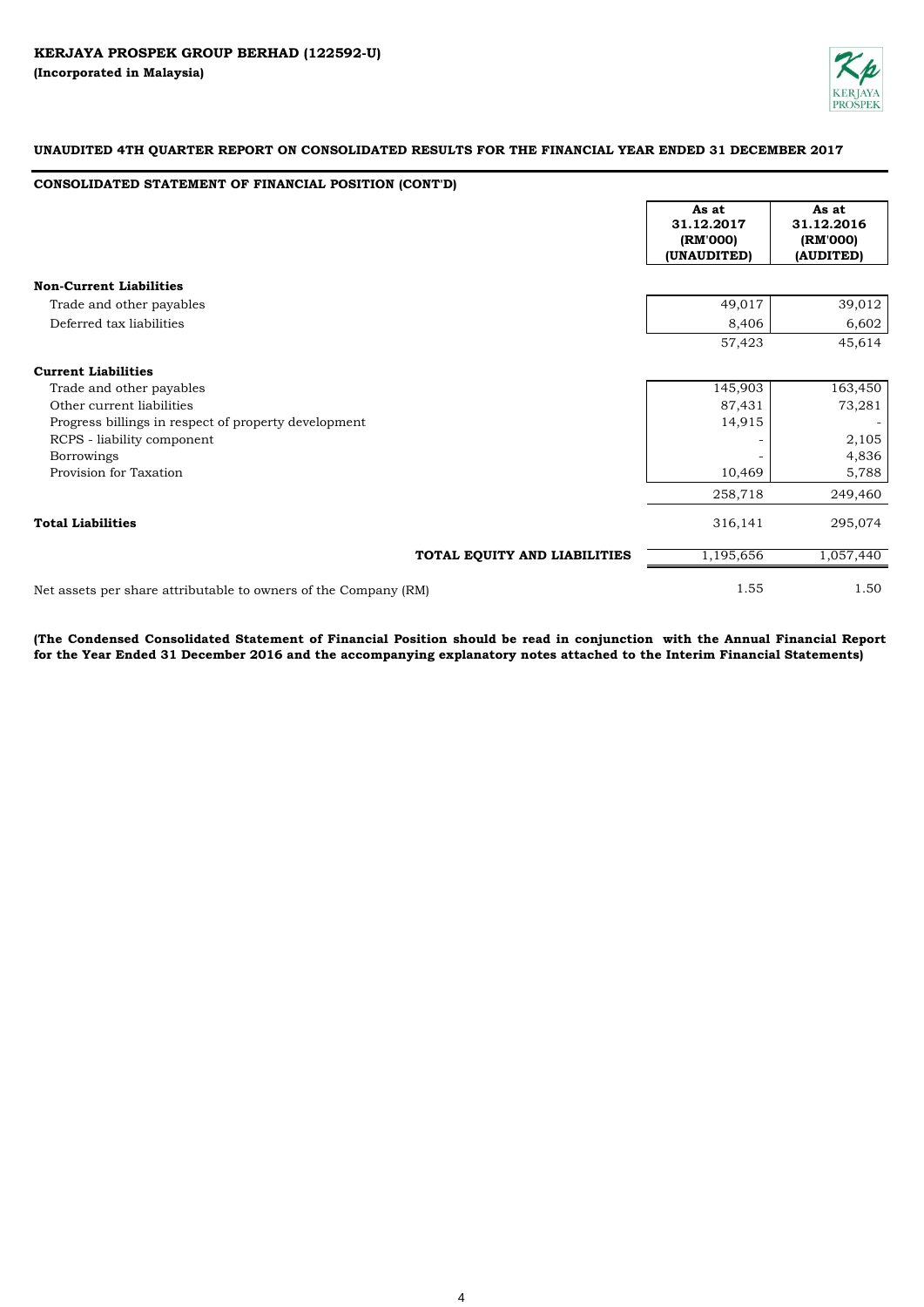

# **CONSOLIDATED STATEMENT OF FINANCIAL POSITION (CONT'D)**

|                                                                 | As at<br>31.12.2017<br>(RM'000)<br>(UNAUDITED) |           | As at<br>31.12.2016<br>(RM'000)<br>(AUDITED) |
|-----------------------------------------------------------------|------------------------------------------------|-----------|----------------------------------------------|
| <b>Non-Current Liabilities</b>                                  |                                                |           |                                              |
| Trade and other payables                                        |                                                | 49,017    | 39,012                                       |
| Deferred tax liabilities                                        |                                                | 8,406     | 6,602                                        |
|                                                                 |                                                | 57,423    | 45,614                                       |
| <b>Current Liabilities</b>                                      |                                                |           |                                              |
| Trade and other payables                                        |                                                | 145,903   | 163,450                                      |
| Other current liabilities                                       |                                                | 87,431    | 73,281                                       |
| Progress billings in respect of property development            |                                                | 14,915    |                                              |
| RCPS - liability component                                      |                                                |           | 2,105                                        |
| <b>Borrowings</b>                                               |                                                |           | 4,836                                        |
| Provision for Taxation                                          |                                                | 10,469    | 5,788                                        |
|                                                                 |                                                | 258,718   | 249,460                                      |
| <b>Total Liabilities</b>                                        |                                                | 316,141   | 295,074                                      |
| TOTAL EQUITY AND LIABILITIES                                    |                                                | 1,195,656 | 1,057,440                                    |
| Net assets per share attributable to owners of the Company (RM) |                                                | 1.55      | 1.50                                         |

(The Condensed Consolidated Statement of Financial Position should be read in conjunction with the Annual Financial Report **for the Year Ended 31 December 2016 and the accompanying explanatory notes attached to the Interim Financial Statements)**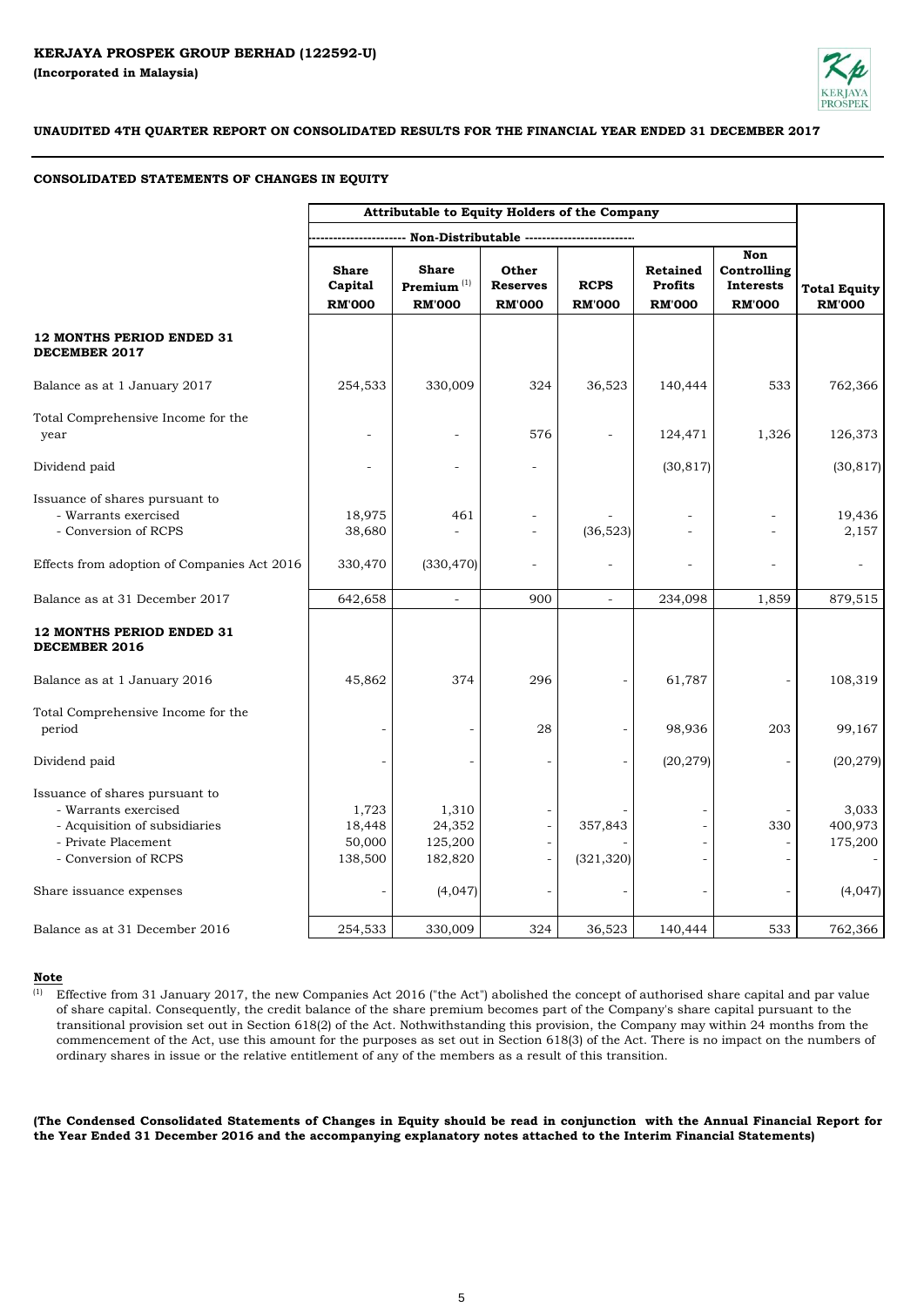

### **CONSOLIDATED STATEMENTS OF CHANGES IN EQUITY**

|                                                                                                                                        |                                          | Attributable to Equity Holders of the Company  |                                           |                              |                                                    |                                                                |                                      |
|----------------------------------------------------------------------------------------------------------------------------------------|------------------------------------------|------------------------------------------------|-------------------------------------------|------------------------------|----------------------------------------------------|----------------------------------------------------------------|--------------------------------------|
|                                                                                                                                        |                                          | -- Non-Distributable -------------------       |                                           |                              |                                                    |                                                                |                                      |
|                                                                                                                                        | <b>Share</b><br>Capital<br><b>RM'000</b> | <b>Share</b><br>Premium $(1)$<br><b>RM'000</b> | Other<br><b>Reserves</b><br><b>RM'000</b> | <b>RCPS</b><br><b>RM'000</b> | <b>Retained</b><br><b>Profits</b><br><b>RM'000</b> | <b>Non</b><br>Controlling<br><b>Interests</b><br><b>RM'000</b> | <b>Total Equity</b><br><b>RM'000</b> |
| <b>12 MONTHS PERIOD ENDED 31</b><br><b>DECEMBER 2017</b>                                                                               |                                          |                                                |                                           |                              |                                                    |                                                                |                                      |
| Balance as at 1 January 2017                                                                                                           | 254,533                                  | 330,009                                        | 324                                       | 36,523                       | 140,444                                            | 533                                                            | 762,366                              |
| Total Comprehensive Income for the<br>year                                                                                             |                                          |                                                | 576                                       |                              | 124,471                                            | 1,326                                                          | 126,373                              |
| Dividend paid                                                                                                                          |                                          |                                                | $\overline{\phantom{a}}$                  |                              | (30, 817)                                          |                                                                | (30, 817)                            |
| Issuance of shares pursuant to<br>- Warrants exercised<br>- Conversion of RCPS                                                         | 18,975<br>38,680                         | 461                                            |                                           | (36, 523)                    |                                                    |                                                                | 19,436<br>2,157                      |
| Effects from adoption of Companies Act 2016                                                                                            | 330,470                                  | (330, 470)                                     | $\qquad \qquad -$                         |                              |                                                    |                                                                |                                      |
| Balance as at 31 December 2017                                                                                                         | 642,658                                  | $\equiv$                                       | 900                                       |                              | 234,098                                            | 1,859                                                          | 879,515                              |
| <b>12 MONTHS PERIOD ENDED 31</b><br><b>DECEMBER 2016</b>                                                                               |                                          |                                                |                                           |                              |                                                    |                                                                |                                      |
| Balance as at 1 January 2016                                                                                                           | 45,862                                   | 374                                            | 296                                       |                              | 61,787                                             |                                                                | 108,319                              |
| Total Comprehensive Income for the<br>period                                                                                           |                                          |                                                | 28                                        |                              | 98,936                                             | 203                                                            | 99,167                               |
| Dividend paid                                                                                                                          |                                          |                                                |                                           |                              | (20, 279)                                          |                                                                | (20, 279)                            |
| Issuance of shares pursuant to<br>- Warrants exercised<br>- Acquisition of subsidiaries<br>- Private Placement<br>- Conversion of RCPS | 1,723<br>18,448<br>50,000<br>138,500     | 1,310<br>24,352<br>125,200<br>182,820          |                                           | 357,843<br>(321, 320)        |                                                    | 330                                                            | 3,033<br>400,973<br>175,200          |
| Share issuance expenses                                                                                                                |                                          | (4,047)                                        |                                           |                              |                                                    |                                                                | (4,047)                              |
| Balance as at 31 December 2016                                                                                                         | 254,533                                  | 330,009                                        | 324                                       | 36,523                       | 140,444                                            | 533                                                            | 762,366                              |

#### **Note**

<sup>(1)</sup> Effective from 31 January 2017, the new Companies Act 2016 ("the Act") abolished the concept of authorised share capital and par value of share capital. Consequently, the credit balance of the share premium becomes part of the Company's share capital pursuant to the transitional provision set out in Section 618(2) of the Act. Nothwithstanding this provision, the Company may within 24 months from the commencement of the Act, use this amount for the purposes as set out in Section 618(3) of the Act. There is no impact on the numbers of ordinary shares in issue or the relative entitlement of any of the members as a result of this transition.

(The Condensed Consolidated Statements of Changes in Equity should be read in conjunction with the Annual Financial Report for **the Year Ended 31 December 2016 and the accompanying explanatory notes attached to the Interim Financial Statements)**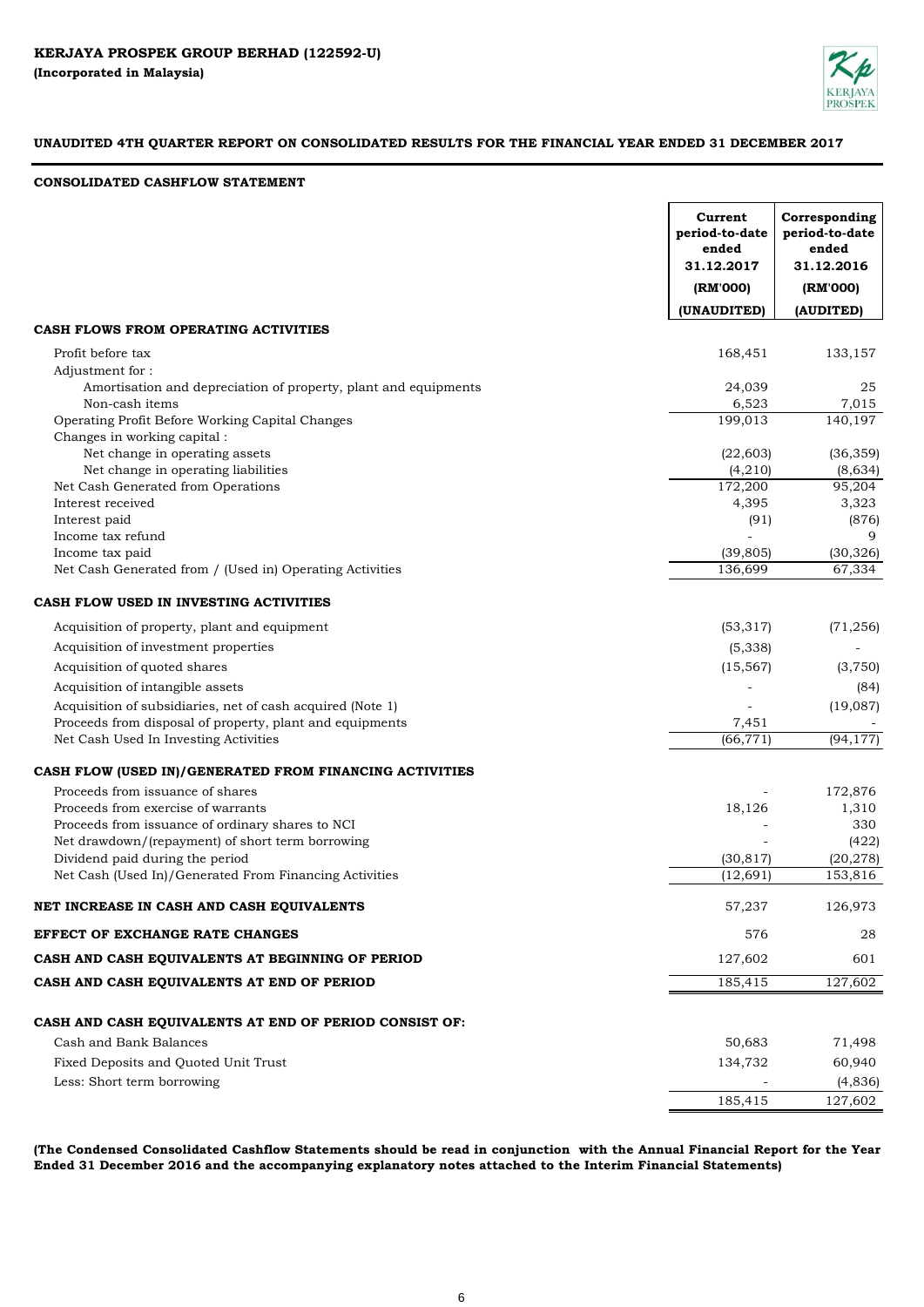

## **CONSOLIDATED CASHFLOW STATEMENT**

|                                                                                     | Current<br>period-to-date<br>ended<br>31.12.2017<br>(RM'000) | Corresponding<br>period-to-date<br>ended<br>31.12.2016<br>(RM'000) |
|-------------------------------------------------------------------------------------|--------------------------------------------------------------|--------------------------------------------------------------------|
|                                                                                     | (UNAUDITED)                                                  | (AUDITED)                                                          |
| CASH FLOWS FROM OPERATING ACTIVITIES                                                |                                                              |                                                                    |
| Profit before tax                                                                   | 168,451                                                      | 133,157                                                            |
| Adjustment for:                                                                     |                                                              |                                                                    |
| Amortisation and depreciation of property, plant and equipments                     | 24,039                                                       | 25                                                                 |
| Non-cash items                                                                      | 6,523                                                        | 7,015                                                              |
| Operating Profit Before Working Capital Changes                                     | 199,013                                                      | 140,197                                                            |
| Changes in working capital:                                                         |                                                              |                                                                    |
| Net change in operating assets<br>Net change in operating liabilities               | (22, 603)<br>(4,210)                                         | (36, 359)<br>(8,634)                                               |
| Net Cash Generated from Operations                                                  | 172,200                                                      | 95,204                                                             |
| Interest received                                                                   | 4,395                                                        | 3,323                                                              |
| Interest paid                                                                       | (91)                                                         | (876)                                                              |
| Income tax refund                                                                   |                                                              | 9                                                                  |
| Income tax paid                                                                     | (39, 805)                                                    | (30, 326)                                                          |
| Net Cash Generated from / (Used in) Operating Activities                            | 136,699                                                      | 67,334                                                             |
| CASH FLOW USED IN INVESTING ACTIVITIES                                              |                                                              |                                                                    |
| Acquisition of property, plant and equipment                                        | (53, 317)                                                    | (71, 256)                                                          |
| Acquisition of investment properties                                                | (5,338)                                                      |                                                                    |
| Acquisition of quoted shares                                                        | (15, 567)                                                    | (3,750)                                                            |
| Acquisition of intangible assets                                                    |                                                              | (84)                                                               |
| Acquisition of subsidiaries, net of cash acquired (Note 1)                          |                                                              | (19,087)                                                           |
| Proceeds from disposal of property, plant and equipments                            | 7,451                                                        |                                                                    |
| Net Cash Used In Investing Activities                                               | (66, 771)                                                    | (94, 177)                                                          |
| CASH FLOW (USED IN)/GENERATED FROM FINANCING ACTIVITIES                             |                                                              |                                                                    |
| Proceeds from issuance of shares                                                    |                                                              | 172,876                                                            |
| Proceeds from exercise of warrants                                                  | 18,126                                                       | 1,310                                                              |
| Proceeds from issuance of ordinary shares to NCI                                    |                                                              | 330                                                                |
| Net drawdown/(repayment) of short term borrowing<br>Dividend paid during the period | (30, 817)                                                    | (422)<br>(20, 278)                                                 |
| Net Cash (Used In)/Generated From Financing Activities                              | (12, 691)                                                    | 153,816                                                            |
|                                                                                     |                                                              |                                                                    |
| NET INCREASE IN CASH AND CASH EQUIVALENTS                                           | 57,237                                                       | 126,973                                                            |
| EFFECT OF EXCHANGE RATE CHANGES                                                     | 576                                                          | 28                                                                 |
| CASH AND CASH EQUIVALENTS AT BEGINNING OF PERIOD                                    | 127,602                                                      | 601                                                                |
| CASH AND CASH EQUIVALENTS AT END OF PERIOD                                          | 185,415                                                      | 127,602                                                            |
| CASH AND CASH EQUIVALENTS AT END OF PERIOD CONSIST OF:                              |                                                              |                                                                    |
| Cash and Bank Balances                                                              | 50,683                                                       | 71,498                                                             |
| Fixed Deposits and Quoted Unit Trust                                                | 134,732                                                      | 60,940                                                             |
| Less: Short term borrowing                                                          |                                                              | (4, 836)                                                           |
|                                                                                     | 185,415                                                      | 127,602                                                            |

(The Condensed Consolidated Cashflow Statements should be read in conjunction with the Annual Financial Report for the Year **Ended 31 December 2016 and the accompanying explanatory notes attached to the Interim Financial Statements)**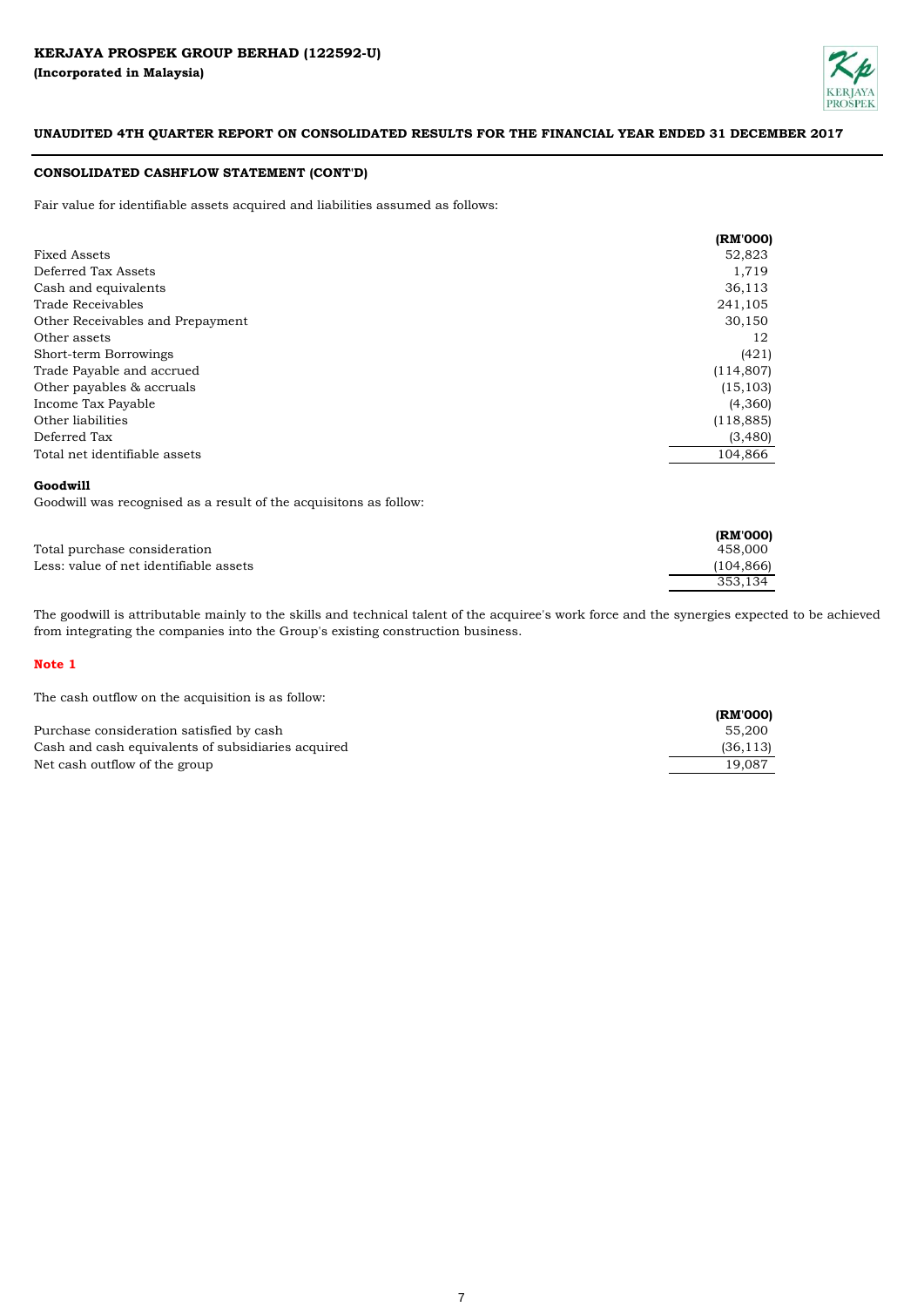

## **CONSOLIDATED CASHFLOW STATEMENT (CONT'D)**

Fair value for identifiable assets acquired and liabilities assumed as follows:

|                                  | (RM'000)   |
|----------------------------------|------------|
| <b>Fixed Assets</b>              | 52,823     |
| Deferred Tax Assets              | 1,719      |
| Cash and equivalents             | 36,113     |
| Trade Receivables                | 241,105    |
| Other Receivables and Prepayment | 30,150     |
| Other assets                     | 12         |
| Short-term Borrowings            | (421)      |
| Trade Payable and accrued        | (114, 807) |
| Other payables & accruals        | (15, 103)  |
| Income Tax Payable               | (4,360)    |
| Other liabilities                | (118, 885) |
| Deferred Tax                     | (3,480)    |
| Total net identifiable assets    | 104,866    |

## **Goodwill**

Goodwill was recognised as a result of the acquisitons as follow:

|                                        | (RM'000)   |
|----------------------------------------|------------|
| Total purchase consideration           | 458,000    |
| Less: value of net identifiable assets | (104, 866) |
|                                        | 353.134    |

The goodwill is attributable mainly to the skills and technical talent of the acquiree's work force and the synergies expected to be achieved from integrating the companies into the Group's existing construction business.

### **Note 1**

The cash outflow on the acquisition is as follow:

|                                                    | (RM'000)  |
|----------------------------------------------------|-----------|
| Purchase consideration satisfied by cash           | 55.200    |
| Cash and cash equivalents of subsidiaries acquired | (36, 113) |
| Net cash outflow of the group                      | 19.087    |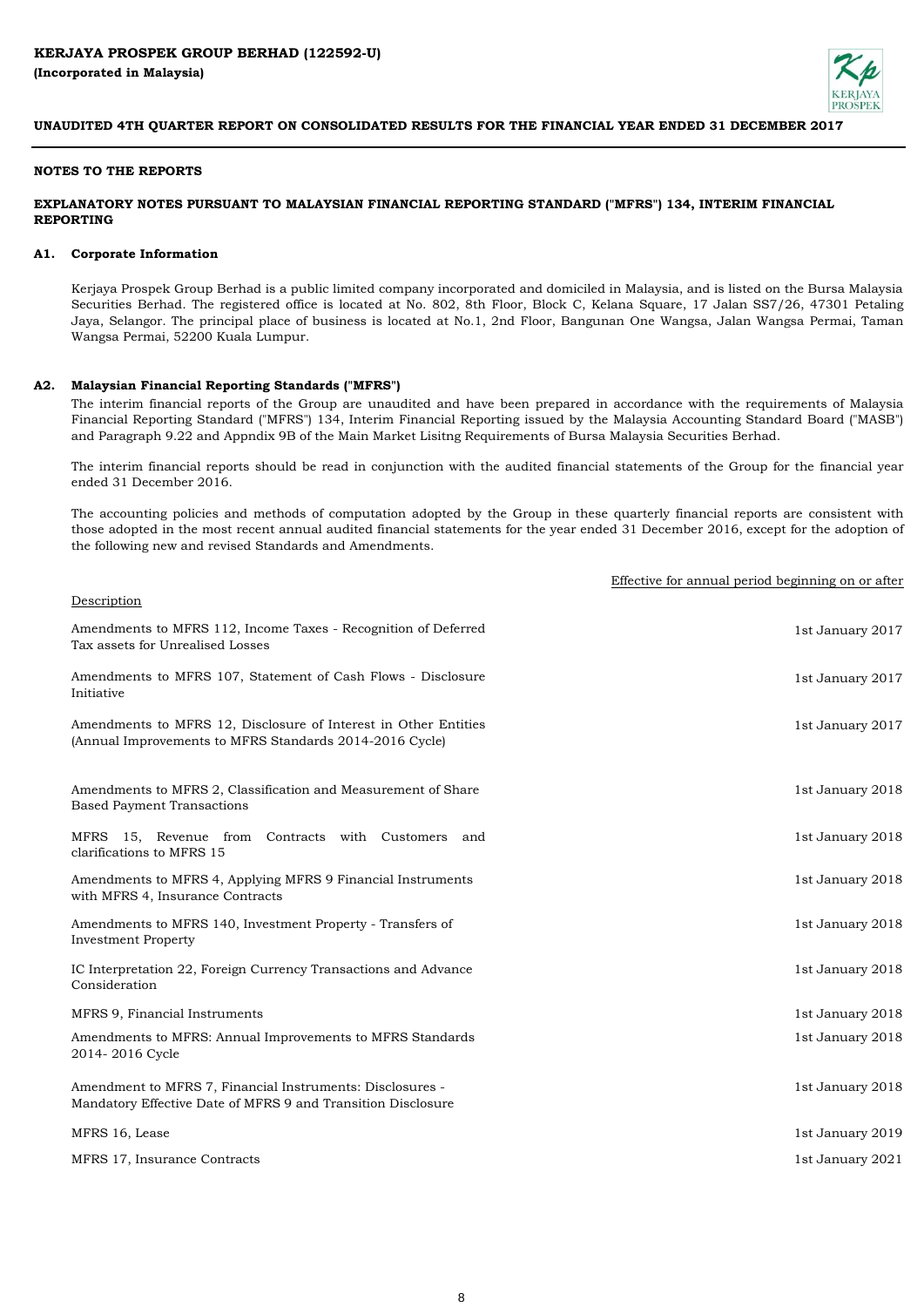

### **NOTES TO THE REPORTS**

## **EXPLANATORY NOTES PURSUANT TO MALAYSIAN FINANCIAL REPORTING STANDARD ("MFRS") 134, INTERIM FINANCIAL REPORTING**

#### **A1. Corporate Information**

Kerjaya Prospek Group Berhad is a public limited company incorporated and domiciled in Malaysia, and is listed on the Bursa Malaysia Securities Berhad. The registered office is located at No. 802, 8th Floor, Block C, Kelana Square, 17 Jalan SS7/26, 47301 Petaling Jaya, Selangor. The principal place of business is located at No.1, 2nd Floor, Bangunan One Wangsa, Jalan Wangsa Permai, Taman Wangsa Permai, 52200 Kuala Lumpur.

#### **A2. Malaysian Financial Reporting Standards ("MFRS")**

The interim financial reports of the Group are unaudited and have been prepared in accordance with the requirements of Malaysia Financial Reporting Standard ("MFRS") 134, Interim Financial Reporting issued by the Malaysia Accounting Standard Board ("MASB") and Paragraph 9.22 and Appndix 9B of the Main Market Lisitng Requirements of Bursa Malaysia Securities Berhad.

The interim financial reports should be read in conjunction with the audited financial statements of the Group for the financial year ended 31 December 2016.

The accounting policies and methods of computation adopted by the Group in these quarterly financial reports are consistent with those adopted in the most recent annual audited financial statements for the year ended 31 December 2016, except for the adoption of the following new and revised Standards and Amendments.

|                                                                                                                            | Effective for annual period beginning on or after |
|----------------------------------------------------------------------------------------------------------------------------|---------------------------------------------------|
| Description                                                                                                                |                                                   |
| Amendments to MFRS 112, Income Taxes - Recognition of Deferred<br>Tax assets for Unrealised Losses                         | 1st January 2017                                  |
| Amendments to MFRS 107, Statement of Cash Flows - Disclosure<br>Initiative                                                 | 1st January 2017                                  |
| Amendments to MFRS 12, Disclosure of Interest in Other Entities<br>(Annual Improvements to MFRS Standards 2014-2016 Cycle) | 1st January 2017                                  |
| Amendments to MFRS 2, Classification and Measurement of Share<br><b>Based Payment Transactions</b>                         | 1st January 2018                                  |
| MFRS 15, Revenue from Contracts with Customers and<br>clarifications to MFRS 15                                            | 1st January 2018                                  |
| Amendments to MFRS 4, Applying MFRS 9 Financial Instruments<br>with MFRS 4, Insurance Contracts                            | 1st January 2018                                  |
| Amendments to MFRS 140, Investment Property - Transfers of<br><b>Investment Property</b>                                   | 1st January 2018                                  |
| IC Interpretation 22, Foreign Currency Transactions and Advance<br>Consideration                                           | 1st January 2018                                  |
| MFRS 9, Financial Instruments                                                                                              | 1st January 2018                                  |
| Amendments to MFRS: Annual Improvements to MFRS Standards<br>2014-2016 Cycle                                               | 1st January 2018                                  |
| Amendment to MFRS 7, Financial Instruments: Disclosures -<br>Mandatory Effective Date of MFRS 9 and Transition Disclosure  | 1st January 2018                                  |
| MFRS 16, Lease                                                                                                             | 1st January 2019                                  |
| MFRS 17, Insurance Contracts                                                                                               | 1st January 2021                                  |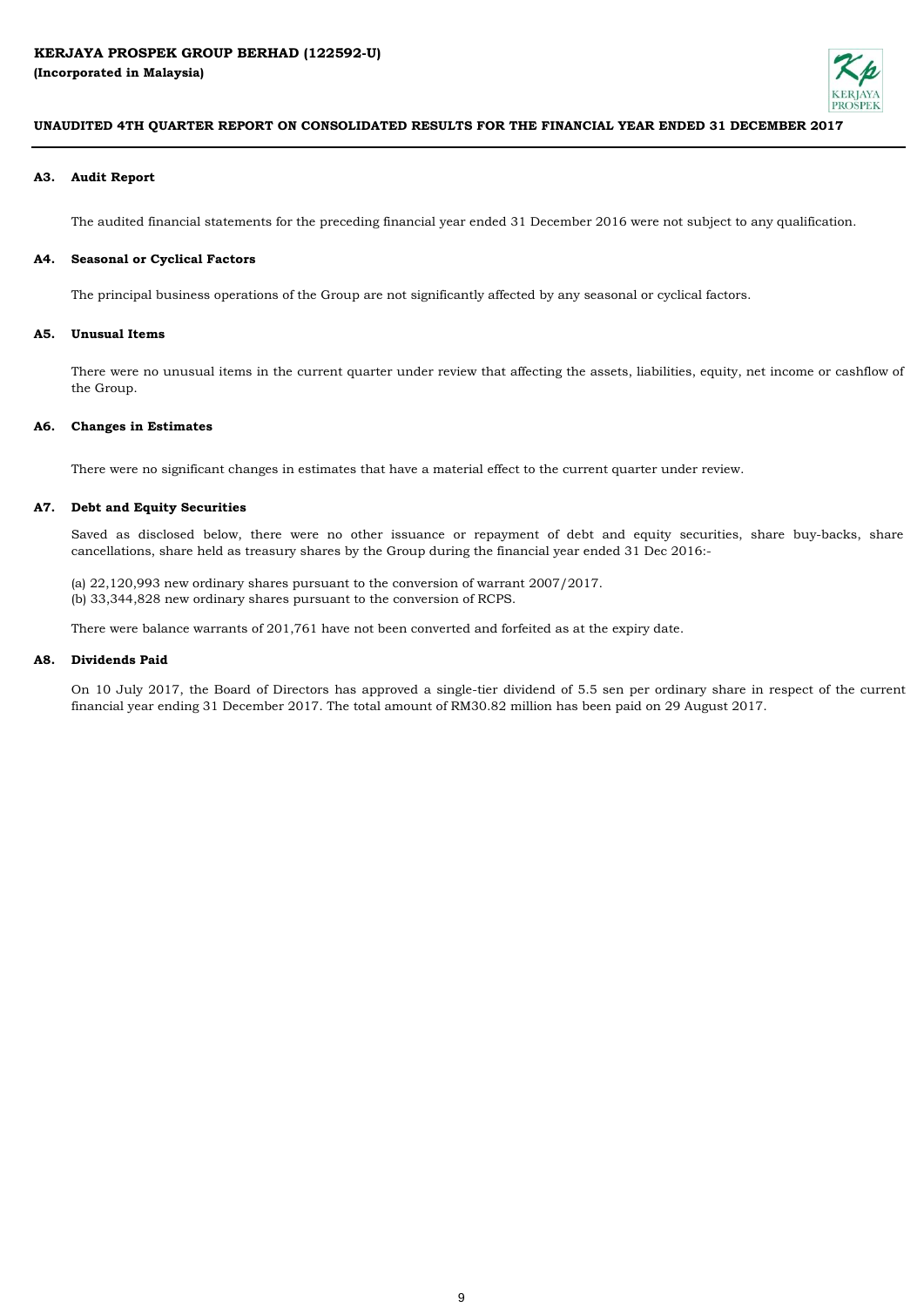

### **A3. Audit Report**

The audited financial statements for the preceding financial year ended 31 December 2016 were not subject to any qualification.

#### **A4. Seasonal or Cyclical Factors**

The principal business operations of the Group are not significantly affected by any seasonal or cyclical factors.

### **A5. Unusual Items**

There were no unusual items in the current quarter under review that affecting the assets, liabilities, equity, net income or cashflow of the Group.

#### **A6. Changes in Estimates**

There were no significant changes in estimates that have a material effect to the current quarter under review.

## **A7. Debt and Equity Securities**

Saved as disclosed below, there were no other issuance or repayment of debt and equity securities, share buy-backs, share cancellations, share held as treasury shares by the Group during the financial year ended 31 Dec 2016:-

(a) 22,120,993 new ordinary shares pursuant to the conversion of warrant 2007/2017. (b) 33,344,828 new ordinary shares pursuant to the conversion of RCPS.

There were balance warrants of 201,761 have not been converted and forfeited as at the expiry date.

#### **A8. Dividends Paid**

On 10 July 2017, the Board of Directors has approved a single-tier dividend of 5.5 sen per ordinary share in respect of the current financial year ending 31 December 2017. The total amount of RM30.82 million has been paid on 29 August 2017.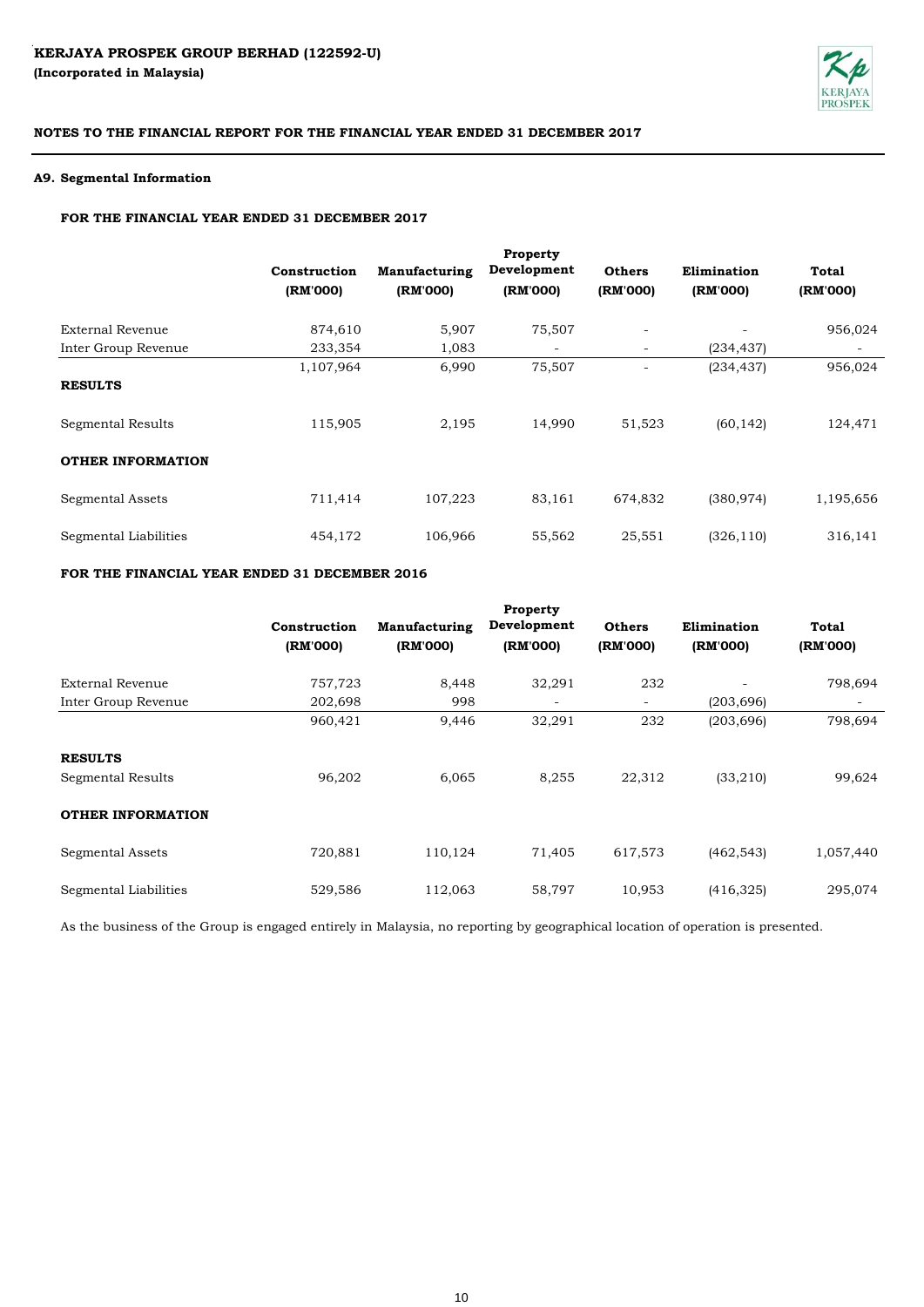

## **A9. Segmental Information**

# **FOR THE FINANCIAL YEAR ENDED 31 DECEMBER 2017**

| Property<br>Development<br>Manufacturing<br><b>Others</b><br>Elimination<br><b>Total</b><br>(RM'000)<br>(RM'000)<br>(RM'000)<br>(RM'000)<br>(RM'000) |  | Construction<br>(RM'000) |                                            |
|------------------------------------------------------------------------------------------------------------------------------------------------------|--|--------------------------|--------------------------------------------|
| 956,024<br>75,507<br>5,907<br>$\overline{\phantom{a}}$                                                                                               |  | 874,610                  | <b>External Revenue</b>                    |
| 1,083<br>(234, 437)<br>$\overline{\phantom{a}}$                                                                                                      |  | 233,354                  | Inter Group Revenue                        |
| 956,024<br>6,990<br>75,507<br>(234, 437)<br>2,195<br>14,990<br>124,471<br>51,523<br>(60, 142)                                                        |  | 1,107,964<br>115,905     | <b>RESULTS</b><br><b>Segmental Results</b> |
|                                                                                                                                                      |  |                          | <b>OTHER INFORMATION</b>                   |
| 1,195,656<br>316,141<br>106,966<br>55,562<br>25,551<br>(326, 110)                                                                                    |  | 454,172                  | Segmental Liabilities                      |
| 107,223<br>83,161<br>(380, 974)<br>674,832                                                                                                           |  | 711,414                  | <b>Segmental Assets</b>                    |

## **FOR THE FINANCIAL YEAR ENDED 31 DECEMBER 2016**

|                          |              |                      | Property    |                          |             |              |
|--------------------------|--------------|----------------------|-------------|--------------------------|-------------|--------------|
|                          | Construction | <b>Manufacturing</b> | Development | <b>Others</b>            | Elimination | <b>Total</b> |
|                          | (RM'000)     | (RM'000)             | (RM'000)    | (RM'000)                 | (RM'000)    | (RM'000)     |
| <b>External Revenue</b>  | 757,723      | 8,448                | 32,291      | 232                      |             | 798,694      |
| Inter Group Revenue      | 202,698      | 998                  |             | $\overline{\phantom{a}}$ | (203, 696)  |              |
|                          | 960,421      | 9,446                | 32,291      | 232                      | (203, 696)  | 798,694      |
| <b>RESULTS</b>           |              |                      |             |                          |             |              |
| Segmental Results        | 96,202       | 6,065                | 8,255       | 22,312                   | (33,210)    | 99,624       |
| <b>OTHER INFORMATION</b> |              |                      |             |                          |             |              |
| <b>Segmental Assets</b>  | 720,881      | 110,124              | 71,405      | 617,573                  | (462, 543)  | 1,057,440    |
| Segmental Liabilities    | 529,586      | 112,063              | 58,797      | 10,953                   | (416, 325)  | 295,074      |

As the business of the Group is engaged entirely in Malaysia, no reporting by geographical location of operation is presented.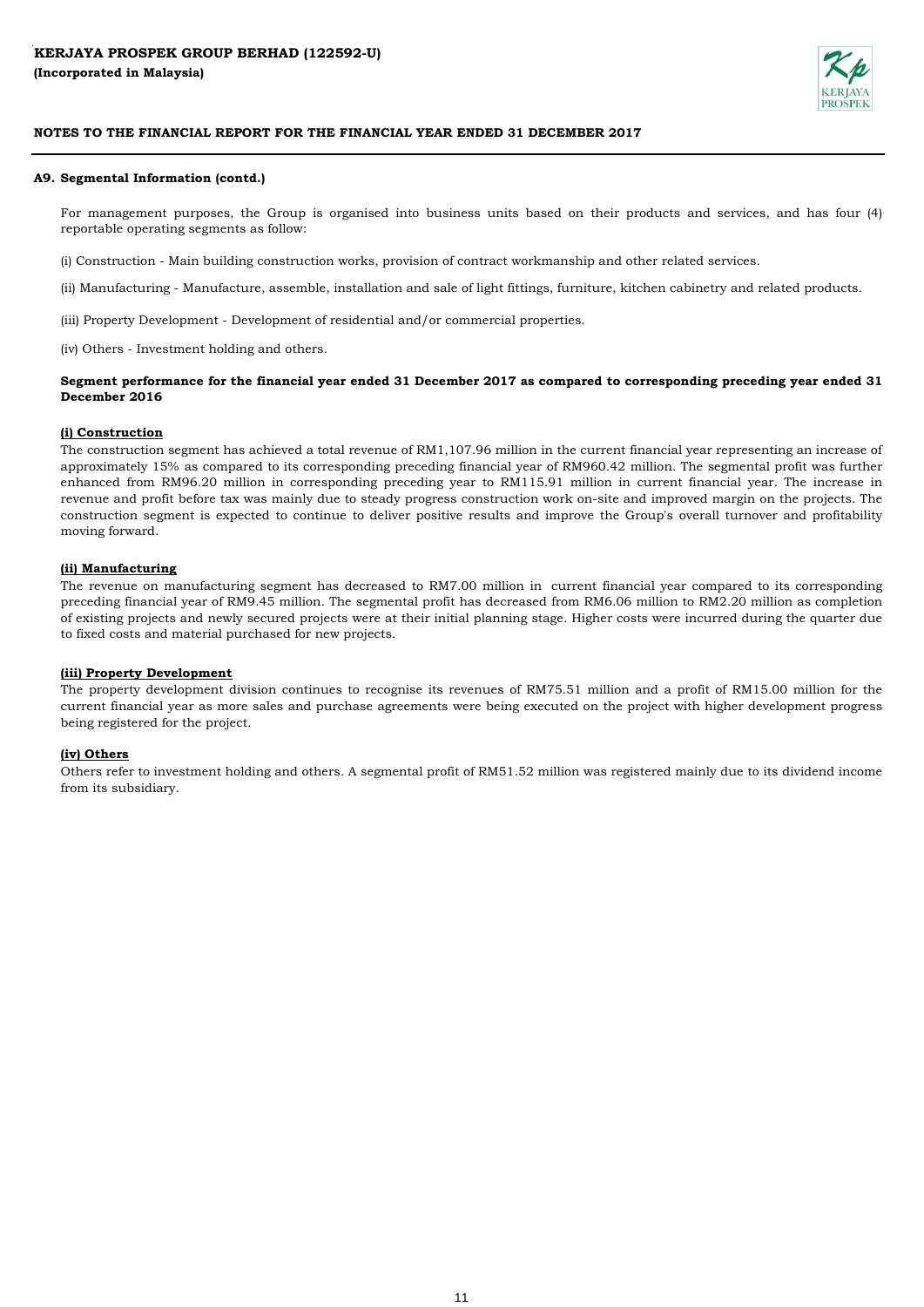

## **A9. Segmental Information (contd.)**

For management purposes, the Group is organised into business units based on their products and services, and has four (4) reportable operating segments as follow:

(i) Construction - Main building construction works, provision of contract workmanship and other related services.

(ii) Manufacturing - Manufacture, assemble, installation and sale of light fittings, furniture, kitchen cabinetry and related products.

(iii) Property Development - Development of residential and/or commercial properties.

(iv) Others - Investment holding and others.

## Segment performance for the financial year ended 31 December 2017 as compared to corresponding preceding year ended 31 **December 2016**

## **(i) Construction**

The construction segment has achieved a total revenue of RM1,107.96 million in the current financial year representing an increase of approximately 15% as compared to its corresponding preceding financial year of RM960.42 million. The segmental profit was further enhanced from RM96.20 million in corresponding preceding year to RM115.91 million in current financial year. The increase in revenue and profit before tax was mainly due to steady progress construction work on-site and improved margin on the projects. The construction segment is expected to continue to deliver positive results and improve the Group's overall turnover and profitability moving forward.

## **(ii) Manufacturing**

The revenue on manufacturing segment has decreased to RM7.00 million in current financial year compared to its corresponding preceding financial year of RM9.45 million. The segmental profit has decreased from RM6.06 million to RM2.20 million as completion of existing projects and newly secured projects were at their initial planning stage. Higher costs were incurred during the quarter due to fixed costs and material purchased for new projects.

## **(iii) Property Development**

The property development division continues to recognise its revenues of RM75.51 million and a profit of RM15.00 million for the current financial year as more sales and purchase agreements were being executed on the project with higher development progress being registered for the project.

## **(iv) Others**

Others refer to investment holding and others. A segmental profit of RM51.52 million was registered mainly due to its dividend income from its subsidiary.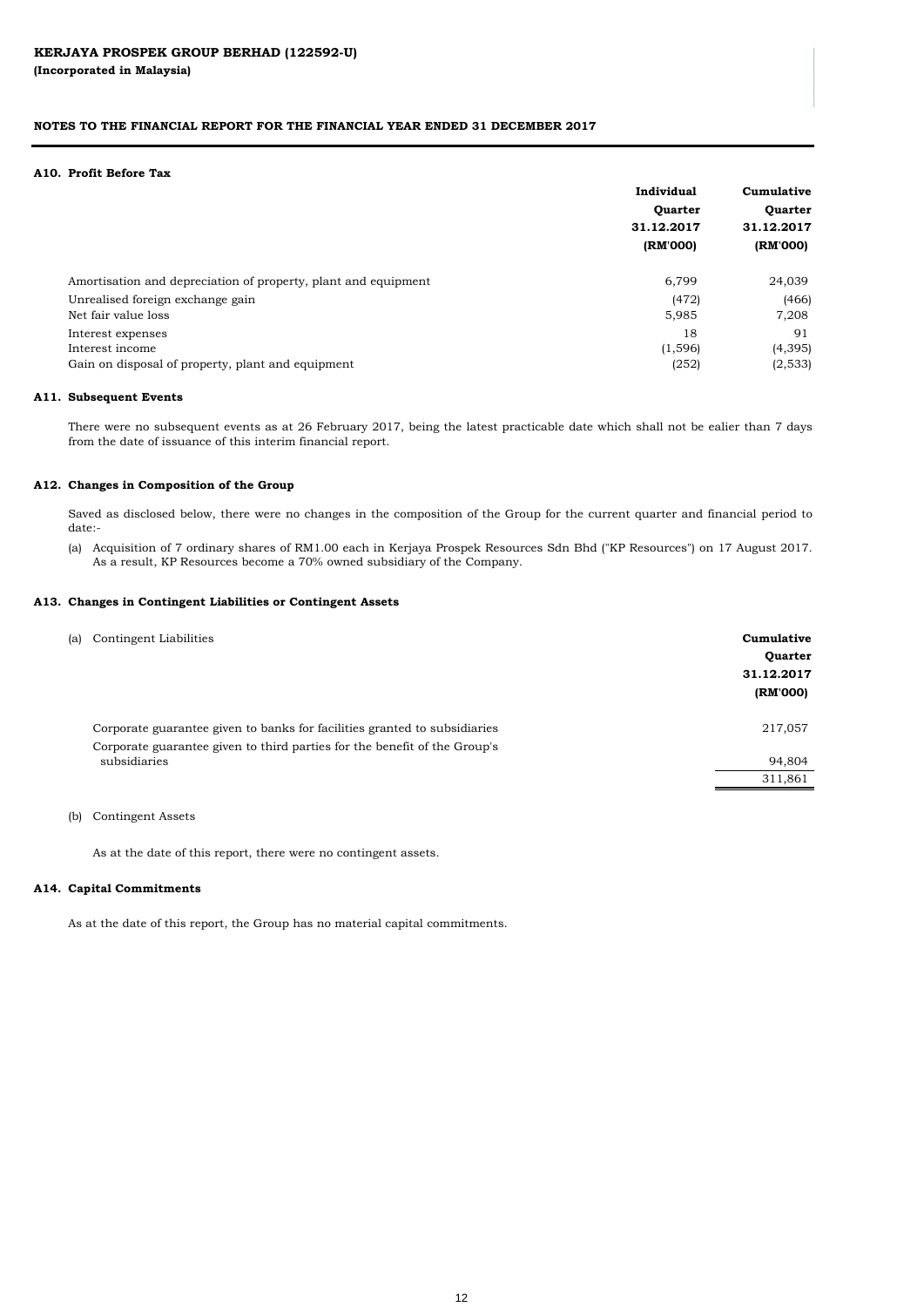|                                                                | Individual | Cumulative<br>Quarter<br>31.12.2017 |  |
|----------------------------------------------------------------|------------|-------------------------------------|--|
|                                                                | Quarter    |                                     |  |
|                                                                | 31.12.2017 |                                     |  |
|                                                                | (RM'000)   | (RM'000)                            |  |
| Amortisation and depreciation of property, plant and equipment | 6,799      | 24,039                              |  |
| Unrealised foreign exchange gain                               | (472)      | (466)                               |  |
| Net fair value loss                                            | 5,985      | 7,208                               |  |
| Interest expenses                                              | 18         | 91                                  |  |
| Interest income                                                | (1, 596)   | (4, 395)                            |  |
| Gain on disposal of property, plant and equipment              | (252)      | (2,533)                             |  |

| Corporate guarantee given to banks for facilities granted to subsidiaries<br>217,057<br>Corporate guarantee given to third parties for the benefit of the Group's<br>subsidiaries<br>94,804<br>311,861 | (a) Contingent Liabilities | Cumulative<br>Quarter<br>31.12.2017<br>(RM'000) |
|--------------------------------------------------------------------------------------------------------------------------------------------------------------------------------------------------------|----------------------------|-------------------------------------------------|
|                                                                                                                                                                                                        |                            |                                                 |
|                                                                                                                                                                                                        |                            |                                                 |
|                                                                                                                                                                                                        |                            |                                                 |

#### **A10. Profit Before Tax**

(b) Contingent Assets

As at the date of this report, there were no contingent assets.

#### **A13. Changes in Contingent Liabilities or Contingent Assets**

#### **A12. Changes in Composition of the Group**

Saved as disclosed below, there were no changes in the composition of the Group for the current quarter and financial period to date:-

#### **A11. Subsequent Events**

#### **A14. Capital Commitments**

#### **NOTES TO THE FINANCIAL REPORT FOR THE FINANCIAL YEAR ENDED 31 DECEMBER 2017**

(a) Acquisition of 7 ordinary shares of RM1.00 each in Kerjaya Prospek Resources Sdn Bhd ("KP Resources") on 17 August 2017. As a result, KP Resources become a 70% owned subsidiary of the Company.

As at the date of this report, the Group has no material capital commitments.

There were no subsequent events as at 26 February 2017, being the latest practicable date which shall not be ealier than 7 days from the date of issuance of this interim financial report.

#### 12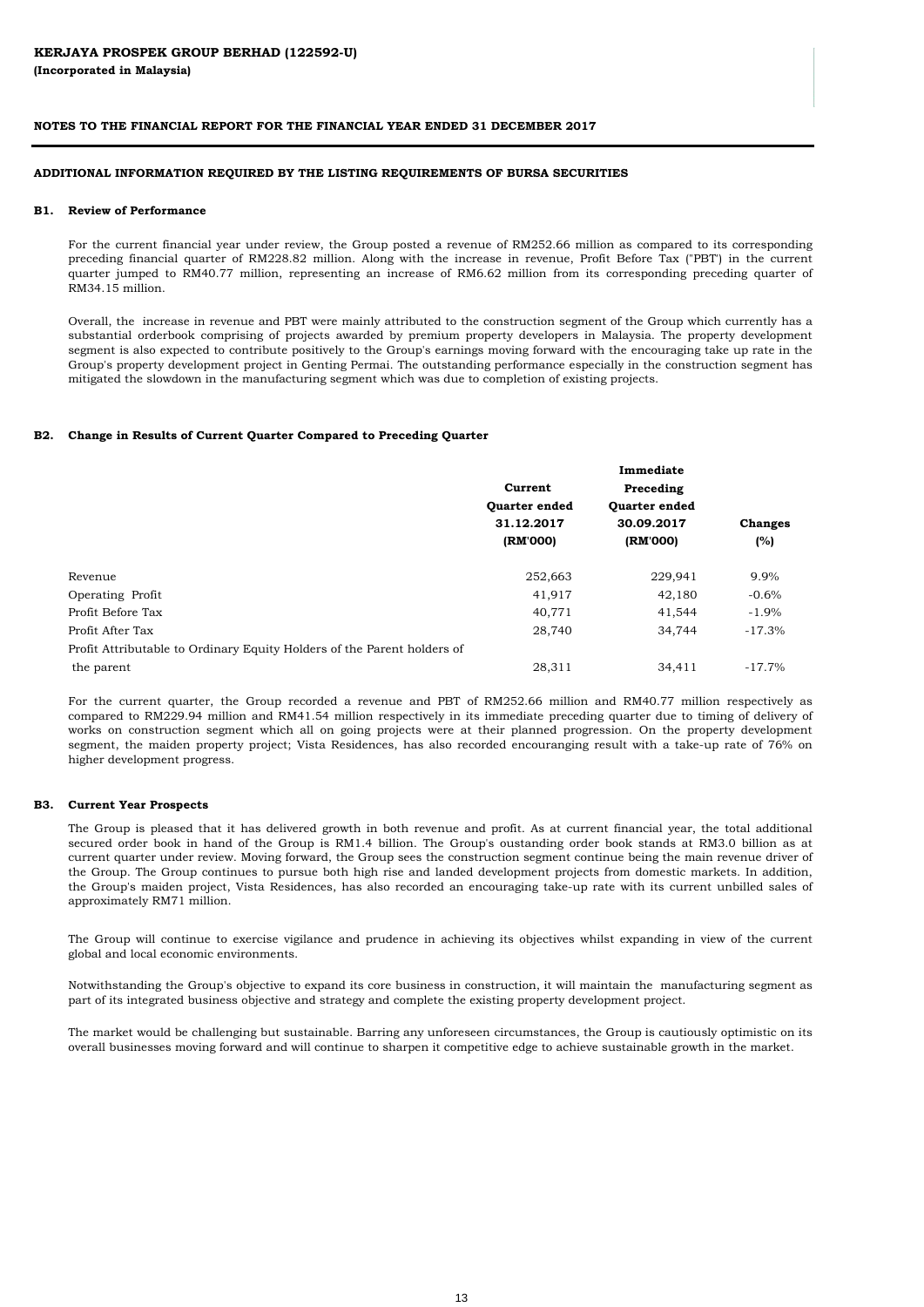#### **B2. Change in Results of Current Quarter Compared to Preceding Quarter**

|                                                                         | Current       | Preceding     |                |
|-------------------------------------------------------------------------|---------------|---------------|----------------|
|                                                                         | Quarter ended | Quarter ended |                |
|                                                                         | 31.12.2017    | 30.09.2017    | <b>Changes</b> |
|                                                                         | (RM'000)      | (RM'000)      | (%)            |
| Revenue                                                                 | 252,663       | 229,941       | 9.9%           |
| Operating Profit                                                        | 41,917        | 42,180        | $-0.6%$        |
| Profit Before Tax                                                       | 40,771        | 41,544        | $-1.9%$        |
| Profit After Tax                                                        | 28,740        | 34,744        | $-17.3%$       |
| Profit Attributable to Ordinary Equity Holders of the Parent holders of |               |               |                |
| the parent                                                              | 28,311        | 34,411        | $-17.7\%$      |

#### **ADDITIONAL INFORMATION REQUIRED BY THE LISTING REQUIREMENTS OF BURSA SECURITIES**

#### **B1. Review of Performance**

Overall, the increase in revenue and PBT were mainly attributed to the construction segment of the Group which currently has a substantial orderbook comprising of projects awarded by premium property developers in Malaysia. The property development segment is also expected to contribute positively to the Group's earnings moving forward with the encouraging take up rate in the Group's property development project in Genting Permai. The outstanding performance especially in the construction segment has mitigated the slowdown in the manufacturing segment which was due to completion of existing projects.

The market would be challenging but sustainable. Barring any unforeseen circumstances, the Group is cautiously optimistic on its

overall businesses moving forward and will continue to sharpen it competitive edge to achieve sustainable growth in the market.

For the current financial year under review, the Group posted a revenue of RM252.66 million as compared to its corresponding preceding financial quarter of RM228.82 million. Along with the increase in revenue, Profit Before Tax ("PBT') in the current quarter jumped to RM40.77 million, representing an increase of RM6.62 million from its corresponding preceding quarter of RM34.15 million.

The Group will continue to exercise vigilance and prudence in achieving its objectives whilst expanding in view of the current global and local economic environments.

#### **B3. Current Year Prospects**

Notwithstanding the Group's objective to expand its core business in construction, it will maintain the manufacturing segment as part of its integrated business objective and strategy and complete the existing property development project.

The Group is pleased that it has delivered growth in both revenue and profit. As at current financial year, the total additional secured order book in hand of the Group is RM1.4 billion. The Group's oustanding order book stands at RM3.0 billion as at current quarter under review. Moving forward, the Group sees the construction segment continue being the main revenue driver of the Group. The Group continues to pursue both high rise and landed development projects from domestic markets. In addition, the Group's maiden project, Vista Residences, has also recorded an encouraging take-up rate with its current unbilled sales of approximately RM71 million.

For the current quarter, the Group recorded a revenue and PBT of RM252.66 million and RM40.77 million respectively as compared to RM229.94 million and RM41.54 million respectively in its immediate preceding quarter due to timing of delivery of works on construction segment which all on going projects were at their planned progression. On the property development segment, the maiden property project; Vista Residences, has also recorded encouranging result with a take-up rate of 76% on higher development progress.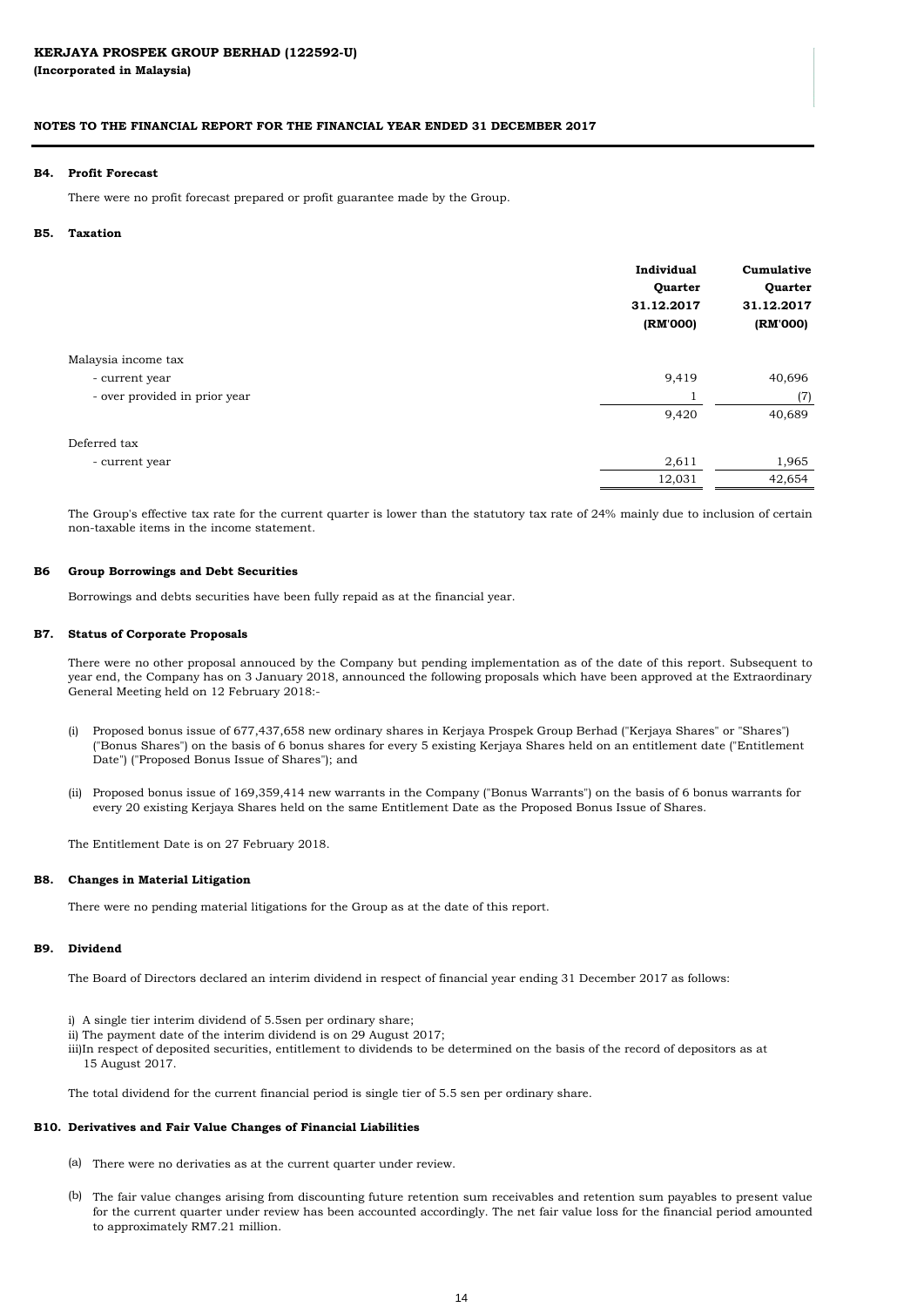|                               | Individual<br>Quarter<br>31.12.2017<br>(RM'000) | Cumulative<br>Quarter<br>31.12.2017<br>(RM'000) |
|-------------------------------|-------------------------------------------------|-------------------------------------------------|
| Malaysia income tax           |                                                 |                                                 |
| - current year                | 9,419                                           | 40,696                                          |
| - over provided in prior year |                                                 | (7)                                             |
|                               | 9,420                                           | 40,689                                          |
| Deferred tax                  |                                                 |                                                 |
| - current year                | 2,611                                           | 1,965                                           |
|                               | 12,031                                          | 42,654                                          |

Borrowings and debts securities have been fully repaid as at the financial year.

The Entitlement Date is on 27 February 2018.

#### **B7. Status of Corporate Proposals**

(a) There were no derivaties as at the current quarter under review.

#### **B9. Dividend**

There were no pending material litigations for the Group as at the date of this report.

There were no other proposal annouced by the Company but pending implementation as of the date of this report. Subsequent to year end, the Company has on 3 January 2018, announced the following proposals which have been approved at the Extraordinary General Meeting held on 12 February 2018:-

- (i) Proposed bonus issue of 677,437,658 new ordinary shares in Kerjaya Prospek Group Berhad ("Kerjaya Shares" or "Shares") ("Bonus Shares") on the basis of 6 bonus shares for every 5 existing Kerjaya Shares held on an entitlement date ("Entitlement Date") ("Proposed Bonus Issue of Shares"); and
- (ii) Proposed bonus issue of 169,359,414 new warrants in the Company ("Bonus Warrants") on the basis of 6 bonus warrants for every 20 existing Kerjaya Shares held on the same Entitlement Date as the Proposed Bonus Issue of Shares.

ii) The payment date of the interim dividend is on 29 August  $2017$ ; iii)In respect of deposited securities, entitlement to dividends to be determined on the basis of the record of depositors as at 15 August 2017.

#### **B8. Changes in Material Litigation**

#### **B10. Derivatives and Fair Value Changes of Financial Liabilities**

#### **B5. Taxation**

#### **B4. Profit Forecast**

#### **B6 Group Borrowings and Debt Securities**

(b) The fair value changes arising from discounting future retention sum receivables and retention sum payables to present value for the current quarter under review has been accounted accordingly. The net fair value loss for the financial period amounted to approximately RM7.21 million.

The Board of Directors declared an interim dividend in respect of financial year ending 31 December 2017 as follows:

- i) A single tier interim dividend of 5.5sen per ordinary share;
- 

The total dividend for the current financial period is single tier of 5.5 sen per ordinary share.

The Group's effective tax rate for the current quarter is lower than the statutory tax rate of 24% mainly due to inclusion of certain non-taxable items in the income statement.

There were no profit forecast prepared or profit guarantee made by the Group.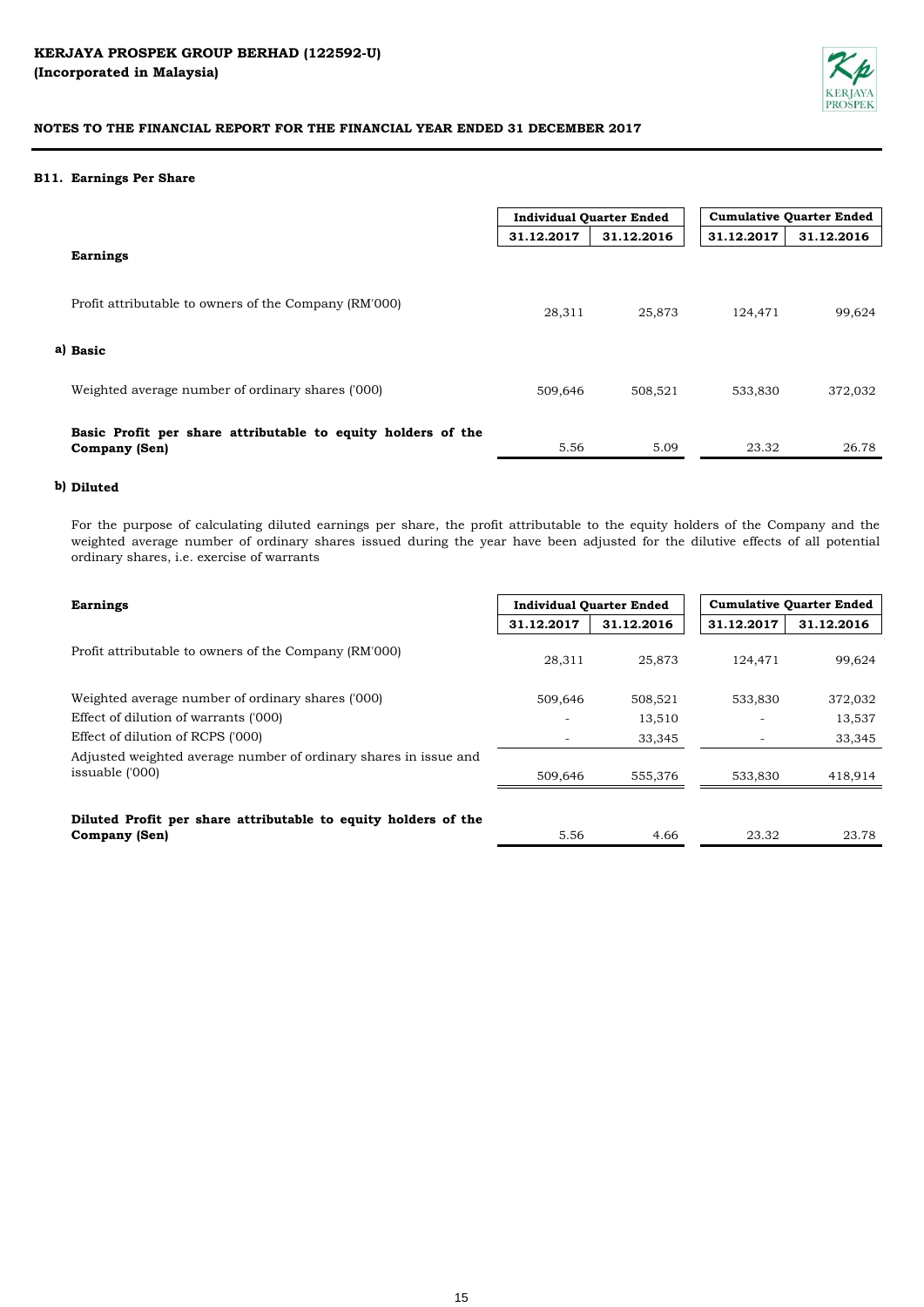

#### **B11. Earnings Per Share**

|                                                                                      | <b>Individual Quarter Ended</b> |            | <b>Cumulative Quarter Ended</b> |            |
|--------------------------------------------------------------------------------------|---------------------------------|------------|---------------------------------|------------|
|                                                                                      | 31.12.2017                      | 31.12.2016 | 31.12.2017                      | 31.12.2016 |
| <b>Earnings</b>                                                                      |                                 |            |                                 |            |
| Profit attributable to owners of the Company (RM'000)                                | 28,311                          | 25,873     | 124,471                         | 99,624     |
| a) Basic                                                                             |                                 |            |                                 |            |
| Weighted average number of ordinary shares ('000)                                    | 509,646                         | 508,521    | 533,830                         | 372,032    |
| Basic Profit per share attributable to equity holders of the<br><b>Company (Sen)</b> | 5.56                            | 5.09       | 23.32                           | 26.78      |

# **b) Diluted**

For the purpose of calculating diluted earnings per share, the profit attributable to the equity holders of the Company and the weighted average number of ordinary shares issued during the year have been adjusted for the dilutive effects of all potential ordinary shares, i.e. exercise of warrants

| <b>Earnings</b>                                                                     | <b>Individual Quarter Ended</b> |            | <b>Cumulative Quarter Ended</b> |            |
|-------------------------------------------------------------------------------------|---------------------------------|------------|---------------------------------|------------|
|                                                                                     | 31.12.2017                      | 31.12.2016 | 31.12.2017                      | 31.12.2016 |
| Profit attributable to owners of the Company (RM'000)                               | 28.311                          | 25,873     | 124.471                         | 99,624     |
| Weighted average number of ordinary shares ('000)                                   | 509.646                         | 508,521    | 533,830                         | 372,032    |
| Effect of dilution of warrants ('000)                                               |                                 | 13,510     |                                 | 13,537     |
| Effect of dilution of RCPS ('000)                                                   |                                 | 33,345     |                                 | 33,345     |
| Adjusted weighted average number of ordinary shares in issue and<br>issuable ('000) | 509,646                         | 555,376    | 533,830                         | 418,914    |
| Diluted Profit per share attributable to equity holders of the<br>Company (Sen)     | 5.56                            | 4.66       | 23.32                           | 23.78      |